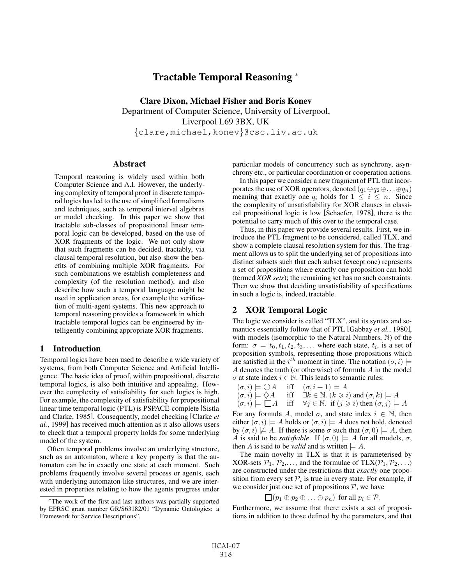# Tractable Temporal Reasoning <sup>∗</sup>

Clare Dixon, Michael Fisher and Boris Konev Department of Computer Science, University of Liverpool, Liverpool L69 3BX, UK {clare,michael,konev}@csc.liv.ac.uk

#### **Abstract**

Temporal reasoning is widely used within both Computer Science and A.I. However, the underlying complexity of temporal proof in discrete temporal logics has led to the use of simplified formalisms and techniques, such as temporal interval algebras or model checking. In this paper we show that tractable sub-classes of propositional linear temporal logic can be developed, based on the use of XOR fragments of the logic. We not only show that such fragments can be decided, tractably, via clausal temporal resolution, but also show the benefits of combining multiple XOR fragments. For such combinations we establish completeness and complexity (of the resolution method), and also describe how such a temporal language might be used in application areas, for example the verification of multi-agent systems. This new approach to temporal reasoning provides a framework in which tractable temporal logics can be engineered by intelligently combining appropriate XOR fragments.

# 1 Introduction

Temporal logics have been used to describe a wide variety of systems, from both Computer Science and Artificial Intelligence. The basic idea of proof, within propositional, discrete temporal logics, is also both intuitive and appealing. However the complexity of satisfiability for such logics is high. For example, the complexity of satisfiability for propositional linear time temporal logic (PTL) is PSPACE-complete [Sistla and Clarke, 1985]. Consequently, model checking [Clarke *et al.*, 1999] has received much attention as it also allows users to check that a temporal property holds for some underlying model of the system.

Often temporal problems involve an underlying structure, such as an automaton, where a key property is that the automaton can be in exactly one state at each moment. Such problems frequently involve several process or agents, each with underlying automaton-like structures, and we are interested in properties relating to how the agents progress under particular models of concurrency such as synchrony, asynchrony etc., or particular coordination or cooperation actions.

In this paper we consider a new fragment of PTL that incorporates the use of XOR operators, denoted  $(q_1 \oplus q_2 \oplus \ldots \oplus q_n)$ meaning that exactly one  $q_i$  holds for  $1 \leq i \leq n$ . Since the complexity of unsatisfiability for XOR clauses in classical propositional logic is low [Schaefer, 1978], there is the potential to carry much of this over to the temporal case.

Thus, in this paper we provide several results. First, we introduce the PTL fragment to be considered, called TLX, and show a complete clausal resolution system for this. The fragment allows us to split the underlying set of propositions into distinct subsets such that each subset (except one) represents a set of propositions where exactly one proposition can hold (termed *XOR sets*); the remaining set has no such constraints. Then we show that deciding unsatisfiability of specifications in such a logic is, indeed, tractable.

# 2 XOR Temporal Logic

The logic we consider is called "TLX", and its syntax and semantics essentially follow that of PTL [Gabbay *et al.*, 1980], with models (isomorphic to the Natural Numbers, N) of the form:  $\sigma = t_0, t_1, t_2, t_3, \ldots$  where each state,  $t_i$ , is a set of proposition symbols, representing those propositions which are satisfied in the  $i^{th}$  moment in time. The notation  $(\sigma, i) \models A$  denotes the truth (or otherwise) of formula A in the model A denotes the truth (or otherwise) of formula A in the model  $\sigma$  at state index  $i \in \mathbb{N}$ . This leads to semantic rules:

$$
(\sigma, i) \models \bigcirc A \quad \text{iff} \quad (\sigma, i + 1) \models A (\sigma, i) \models \Diamond A \quad \text{iff} \quad \exists k \in \mathbb{N}. \ (k \geq i) \text{ and } (\sigma, k) \models A (\sigma, i) \models \Box A \quad \text{iff} \quad \forall j \in \mathbb{N}. \text{ if } (j \geq i) \text{ then } (\sigma, j) \models A
$$

For any formula A, model  $\sigma$ , and state index  $i \in \mathbb{N}$ , then either  $(\sigma i) \models A$  holds or  $(\sigma i) \models A$  does not hold denoted either  $(\sigma, i) \models A$  holds or  $(\sigma, i) \models A$  does not hold, denoted by  $(\sigma, i) \not\models A$ . If there is some  $\sigma$  such that  $(\sigma, 0) \models A$ , then A is said to be *satisfiable*. If  $(\sigma, 0) \models A$  for all models,  $\sigma$ , then A is said to be *valid* and is written  $= A$ .

The main novelty in TLX is that it is parameterised by XOR-sets  $P_1, P_2,...$ , and the formulae of TLX( $P_1, P_2,...$ ) are constructed under the restrictions that *exactly* one proposition from every set  $P_i$  is true in every state. For example, if we consider just one set of propositions  $P$ , we have

$$
\Box (p_1 \oplus p_2 \oplus \ldots \oplus p_n) \text{ for all } p_i \in \mathcal{P}.
$$

 $\Box (p_1 \oplus p_2 \oplus \ldots \oplus p_n)$  for all  $p_i \in \mathcal{P}$ .<br>Furthermore, we assume that there exists a set of propositions in addition to those defined by the parameters, and that

<sup>∗</sup>The work of the first and last authors was partially supported by EPRSC grant number GR/S63182/01 "Dynamic Ontologies: a Framework for Service Descriptions".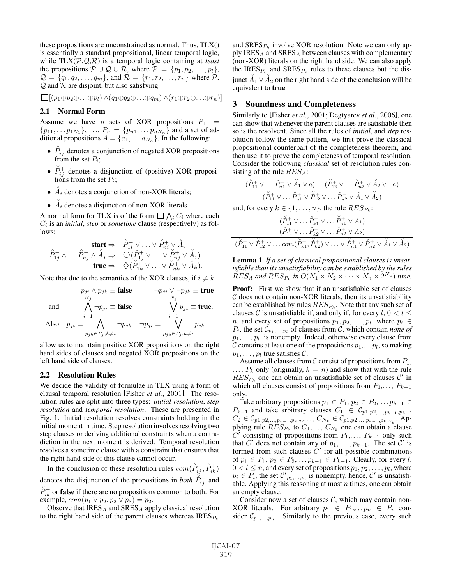these propositions are unconstrained as normal. Thus, TLX() is essentially a standard propositional, linear temporal logic, while TLX(P,Q,R) is a temporal logic containing at *least* the propositions  $P \cup Q \cup R$ , where  $P = \{p_1, p_2, \ldots, p_l\},\$  $\mathcal{Q} = \{q_1, q_2, \ldots, q_m\}$ , and  $\mathcal{R} = \{r_1, r_2, \ldots, r_n\}$  where  $\mathcal{P}$ ,  $Q$  and  $R$  are disjoint, but also satisfying

 $\Box$ [ $(p_1 \oplus p_2 \oplus \ldots \oplus p_l) \wedge (q_1 \oplus q_2 \oplus \ldots \oplus q_m) \wedge (r_1 \oplus r_2 \oplus \ldots \oplus r_n)$ ]

# 2.1 Normal Form

Assume we have *n* sets of XOR propositions  $P_1$  =  $\{p_{11},...,p_{1N_1}\},..., P_n = \{p_{n1},...,p_{nN_n}\}\$  and a set of ad-<br>ditional propositions  $A = \{a_1, a_2\}$ . In the following ditional propositions  $A = \{a_1, \ldots a_{N_a}\}\.$  In the following:

- $\hat{P}_{ij}^-$  denotes a conjunction of negated XOR propositions from the set  $P_i$ . from the set  $P_i$ ;
- $\check{P}_{ij}^+$  denotes a disjunction of (positive) XOR propositions from the set  $P_i$ . tions from the set  $P_i$ ;
- $\hat{A}_i$  denotes a conjunction of non-XOR literals;
- $\AA_i$  denotes a disjunction of non-XOR literals.

A normal form for TLX is of the form  $\prod_{i} \bigwedge_i C_i$  where each  $C_i$  is an *initial step* or *sometime* clause (respectively) as fol- $C_i$  is an *initial*, *step* or *sometime* clause (respectively) as follows:

$$
\mathbf{start} \Rightarrow \quad \mathbf{X}_{1i}^+ \vee \ldots \vee \mathbf{X}_{ni}^+ \vee \mathbf{X}_i
$$
\n
$$
\hat{P}_{1j}^- \wedge \ldots \hat{P}_{nj}^- \wedge \hat{A}_j \Rightarrow \quad \bigcirc (\mathbf{X}_{1j}^+ \vee \ldots \vee \mathbf{X}_{nj}^+ \vee \mathbf{X}_j)
$$
\n
$$
\mathbf{true} \Rightarrow \quad \bigcirc (\mathbf{X}_{1k}^+ \vee \ldots \vee \mathbf{X}_{nk}^+ \vee \mathbf{X}_k).
$$

Note that due to the semantics of the XOR clauses, if  $i \neq k$ 

$$
p_{ji} \wedge p_{jk} \equiv \textbf{false} \qquad \neg p_{ji} \vee \neg p_{jk} \equiv \textbf{true}
$$
  

$$
\bigwedge_{N_j} \neg p_{ji} \equiv \textbf{false} \qquad \bigvee_{N_j} p_{ji} \equiv \textbf{true}.
$$

and  $\bigwedge_{i=1}^N \neg p_{ji} \equiv \textbf{false}$   $\bigvee_{i=1}^N$ 

Also 
$$
p_{ji} \equiv \bigwedge_{p_{jk} \in P_j, k \neq i} \neg p_{jk} \neg p_{ji} \equiv \bigvee_{p_{jk} \in P_j, k \neq i} p_{jk}
$$

allow us to maintain positive XOR propositions on the right hand sides of clauses and negated XOR propositions on the left hand side of clauses.

#### 2.2 Resolution Rules

We decide the validity of formulae in TLX using a form of clausal temporal resolution [Fisher *et al.*, 2001]. The resolution rules are split into three types: *initial resolution*, *step resolution* and *temporal resolution*. These are presented in Fig. 1. Initial resolution resolves constraints holding in the initial moment in time. Step resolution involves resolving two step clauses or deriving additional constraints when a contradiction in the next moment is derived. Temporal resolution resolves a sometime clause with a constraint that ensures that the right hand side of this clause cannot occur.

In the conclusion of these resolution rules  $com(\check{P}_{ij}^+)$ ,  $\check{P}_{ik}^+)$ denotes the disjunction of the propositions in *both*  $\check{P}_{ij}^+$  and  $\check{P}_{ij}^+$  $\check{P}_{ik}^+$  or **false** if there are no propositions common to both. For example,  $com(n_1 \vee n_2, n_2 \vee n_2) = n_2$ example,  $com(p_1 \vee p_2, p_2 \vee p_3) = p_2$ .

Observe that  $IRES<sub>A</sub>$  and  $SRES<sub>A</sub>$  apply classical resolution to the right hand side of the parent clauses whereas  $IRES_{P_k}$ 

and  $SRES_{P_k}$  involve XOR resolution. Note we can only apply IRES<sub>A</sub> and SRES<sub>A</sub> between clauses with complementary (non-XOR) literals on the right hand side. We can also apply the IRES<sub> $P_k$ </sub> and SRES<sub> $P_k$ </sub> rules to these clauses but the disjunct  $\overrightarrow{A}_1 \vee \overrightarrow{A}_2$  on the right hand side of the conclusion will be equivalent to **true** equivalent to true.

## 3 Soundness and Completeness

Similarly to [Fisher *et al.*, 2001; Degtyarev *et al.*, 2006], one can show that whenever the parent clauses are satisfiable then so is the resolvent. Since all the rules of *initial*, and *step* resolution follow the same pattern, we first prove the classical propositional counterpart of the completeness theorem, and then use it to prove the completeness of temporal resolution. Consider the following *classical* set of resolution rules consisting of the rule  $RES<sub>A</sub>$ :

$$
\frac{(\overset{\vee}{P}_{11}^+\vee\ldots\overset{\vee}{P}_{n1}^+\vee\overset{\vee}{A}_1\vee a); \quad (\overset{\vee}{P}_{12}^+\vee\ldots\overset{\vee}{P}_{n2}^+\vee\overset{\vee}{A}_2\vee\neg a)}{(\overset{\vee}{P}_{11}^+\vee\ldots\overset{\vee}{P}_{n1}^+\vee\overset{\vee}{P}_{12}^+\vee\ldots\overset{\vee}{P}_{n2}^+\vee\overset{\vee}{A}_1\vee\overset{\vee}{A}_2)}
$$

and, for every 
$$
k \in \{1, ..., n\}
$$
, the rule  $RES_{P_k}$ :  
\n
$$
(\check{P}_{11}^+ \vee ... \check{P}_{k1}^+ \vee ... \check{P}_{n1}^+ \vee A_1)
$$
\n
$$
(\check{P}_{12}^+ \vee ... \check{P}_{k2}^+ \vee ... \check{P}_{n2}^+ \vee A_2)
$$
\n
$$
(\check{P}_{11}^+ \vee \check{P}_{12}^+ \vee ... \circ m(\check{P}_{k1}^+, \check{P}_{k2}^+ \vee ... \vee \check{P}_{n1}^+ \vee \check{P}_{n2}^+ \vee \check{A}_1 \vee \check{A}_2))
$$

Lemma 1 *If a set of classical propositional clauses is unsatisfiable than its unsatisfiability can be established by the rules*  $RES<sub>A</sub>$  and  $RES<sub>P<sub>k</sub></sub>$  *in*  $O(N_1 \times N_2 \times \cdots \times N_n \times 2^{N_a})$  *time.* 

Proof: First we show that if an unsatisfiable set of clauses  $\mathcal C$  does not contain non-XOR literals, then its unsatisfiability can be established by rules  $RES_{P_k}$ . Note that any such set of clauses C is unsatisfiable if, and only if, for every  $l, 0 < l \leq$ *n*, and every set of propositions  $p_1, p_2, \ldots, p_l$ , where  $p_i \in$  $P_i$ , the set  $\mathcal{C}_{p_1,...,p_l}$  of clauses from  $\mathcal{C}$ , which contain *none of*  $p_1, \ldots, p_l$ , is nonempty. Indeed, otherwise every clause from C contains at least one of the propositions  $p_1, \ldots, p_l$ , so making  $p_1, \ldots, p_l$  true satisfies C.

Assume all clauses from C consist of propositions from  $P_1$ ,  $\ldots$ ,  $P_k$  only (originally,  $k = n$ ) and show that with the rule  $RES_{P_k}$  one can obtain an unsatisfiable set of clauses  $C'$  in which all clauses consist of propositions from  $P_1, \ldots, P_{k-1}$ only.

Take arbitrary propositions  $p_1 \in P_1$ ,  $p_2 \in P_2$ , ...  $p_{k-1} \in$  $P_{k-1}$  and take arbitrary clauses  $C_1 \in C_{p1,p2,\dots,p_{k-1},p_{k,1}}$ ,<br> $C_2 \in C_{p1,p2}$ ,  $C_3 \in C_{p1,p2}$ ,  $D_{p1,p2}$ ,  $D_{p2,p3}$  $C_2 \in \mathcal{C}_{p1,p2,\dots,p_{k-1},p_{k,2}}, \dots, C_{N_k} \in \mathcal{C}_{p1,p2,\dots,p_{k-1},p_{k,N_k}}$ . Ap-<br>plying rule  $RFS_2$  to  $C_k$  . Current can obtain a clause plying rule  $RES_{P_k}$  to  $C_1, \ldots, C_{N_k}$  one can obtain a clause  $C'$  consisting of propositions from  $P_k = P_{k-1}$  only such  $C'$  consisting of propositions from  $P_1, \ldots, P_{k-1}$  only such that C' does not contain any of  $p_1, \ldots, p_{k-1}$ . The set C' is formed from such clauses  $C'$  for all possible combinations of  $p_1$  ∈  $P_1$ ,  $p_2$  ∈  $P_2$ , ...  $p_{k-1}$  ∈  $P_{k-1}$ . Clearly, for every l,  $0 < l \leq n$ , and every set of propositions  $p_1, p_2, \ldots, p_l$ , where  $p_i \in P_i$ , the set  $\mathcal{C}'_{p_1,\dots,p_i}$  is nonempty, hence,  $\mathcal{C}'$  is unsatisfiable. Applying this reasoning at most *n* times, one can obtain able. Applying this reasoning at most  $n$  times, one can obtain an empty clause.

Consider now a set of clauses  $C$ , which may contain non-XOR literals. For arbitrary  $p_1 \in P_1, \ldots, p_n \in P_n$  consider  $\mathcal{C}_{p_1,...,p_n}$ . Similarly to the previous case, every such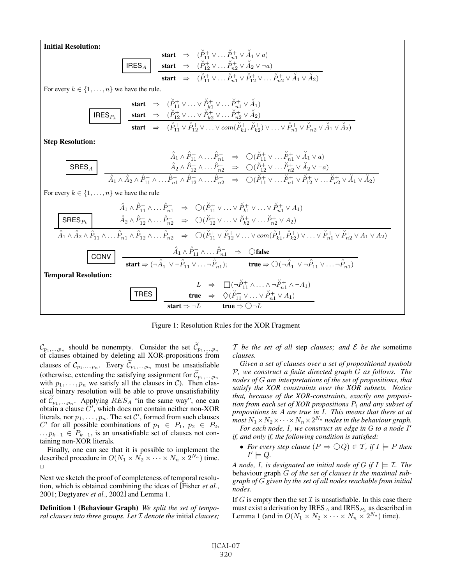Initial Resolution:

| start             | $\Rightarrow$ | $(\check{P}_{11}^+ \vee \dots \check{P}_{n1}^+ \vee \check{A}_1 \vee a)$                                                             |                                                                               |
|-------------------|---------------|--------------------------------------------------------------------------------------------------------------------------------------|-------------------------------------------------------------------------------|
| IRES <sub>A</sub> | start         | $\Rightarrow$                                                                                                                        | $(\check{P}_{12}^+ \vee \dots \check{P}_{n2}^+ \vee \check{A}_2 \vee \neg a)$ |
| start             | $\Rightarrow$ | $(\check{P}_{11}^+ \vee \dots \check{P}_{n1}^+ \vee \check{P}_{12}^+ \vee \dots \check{P}_{n2}^+ \vee \check{A}_1 \vee \check{A}_2)$ |                                                                               |

For every  $k \in \{1, \ldots, n\}$  we have the rule.

| start                         | $\Rightarrow$ | $(\check{P}_{11}^+ \vee \ldots \vee \check{P}_{k1}^+ \vee \ldots \check{P}_{n1}^+ \vee \check{A}_1)$                                                                                                 |                                                                                                      |
|-------------------------------|---------------|------------------------------------------------------------------------------------------------------------------------------------------------------------------------------------------------------|------------------------------------------------------------------------------------------------------|
| IRES <sub>P<sub>k</sub></sub> | start         | $\Rightarrow$                                                                                                                                                                                        | $(\check{P}_{12}^+ \vee \ldots \vee \check{P}_{k2}^+ \vee \ldots \check{P}_{n2}^+ \vee \check{A}_2)$ |
| start                         | $\Rightarrow$ | $(\check{P}_{11}^+ \vee \check{P}_{12}^+ \vee \ldots \vee \text{com}(\check{P}_{k1}^+, \check{P}_{k2}^+) \vee \ldots \vee \check{P}_{n1}^+ \vee \check{P}_{n2}^+ \vee \check{A}_1 \vee \check{A}_2)$ |                                                                                                      |

Step Resolution:

$$
\begin{array}{c|c} \widehat{A}_1 \wedge \widehat{P}_{11}^- \wedge \ldots \widehat{P}_{n1}^- & \Rightarrow & \bigcirc (\widecheck{P}_{11}^+ \vee \ldots \widecheck{P}_{n1}^+ \vee \widecheck{A}_1 \vee a) \\ \hline \\ \widehat{A}_2 \wedge \widehat{P}_{12}^- \wedge \ldots \widehat{P}_{n2}^- & \Rightarrow & \bigcirc (\widecheck{P}_{12}^+ \vee \ldots \widecheck{P}_{n2}^+ \vee \widecheck{A}_2 \vee \neg a) \\ \hline \\ \widehat{A}_1 \wedge \widehat{A}_2 \wedge \widehat{P}_{11}^- \wedge \ldots \widehat{P}_{n1}^- \wedge \widehat{P}_{12}^- \wedge \ldots \widehat{P}_{n2}^- & \Rightarrow & \bigcirc (\widecheck{P}_{11}^+ \vee \ldots \widecheck{P}_{n1}^+ \vee \widecheck{P}_{12}^+ \vee \ldots \widecheck{P}_{n2}^+ \vee \widecheck{A}_1 \vee \widecheck{A}_2) \end{array}
$$

For every  $k \in \{1, \ldots, n\}$  we have the rule

$$
\hat{A}_1 \wedge \hat{P}_{11}^{-} \wedge \dots \hat{P}_{n1}^{-} \Rightarrow \bigcirc (\check{P}_{11}^{+} \vee \dots \vee \check{P}_{k1}^{+} \vee \dots \vee \check{P}_{n1}^{+} \vee A_1)
$$
\n
$$
\frac{\text{SRES}_{P_k}}{\hat{A}_1 \wedge \hat{A}_2 \wedge \hat{P}_{11}^{-} \wedge \dots \hat{P}_{n1}^{-} \wedge \hat{P}_{12}^{-} \wedge \dots \hat{P}_{n2}^{-} \Rightarrow \bigcirc (\check{P}_{12}^{+} \vee \dots \vee \check{P}_{k2}^{+} \vee \dots \check{P}_{n2}^{+} \vee A_2)
$$
\n
$$
\hat{A}_1 \wedge \hat{A}_2 \wedge \hat{P}_{11}^{-} \wedge \dots \hat{P}_{n1}^{-} \wedge \hat{P}_{12}^{-} \wedge \dots \hat{P}_{n2}^{-} \Rightarrow \bigcirc (\check{P}_{11}^{+} \vee \check{P}_{12}^{+} \vee \dots \vee \text{com}(\check{P}_{k1}^{+}, \check{P}_{k2}^{+}) \vee \dots \vee \check{P}_{n1}^{+} \vee \check{P}_{n2}^{+} \vee A_1 \vee A_2)
$$
\n
$$
\frac{\text{CONV}}{\text{start}} = \frac{\hat{A}_1 \wedge \hat{P}_{11}^{-} \wedge \dots \hat{P}_{n1}^{-} \Rightarrow \text{Cfalse}}{\text{start} \Rightarrow (\neg \hat{A}_1^{-} \vee \neg \hat{P}_{11}^{-} \vee \dots \neg \hat{P}_{n1}^{-})}; \qquad \text{true} \Rightarrow \bigcirc (\neg \hat{A}_1^{-} \vee \neg \hat{P}_{11}^{-} \vee \dots \neg \hat{P}_{n1}^{-})
$$
\n
$$
\frac{L}{\text{THES}} = \frac{\bigcirc (\neg \check{P}_{11}^{+} \wedge \dots \wedge \neg \check{P}_{n1}^{+} \wedge \neg A_1)}{\text{start} \Rightarrow \neg L} \qquad \text{true} \Rightarrow \bigcirc (\varphi_{11}^{+} \vee \dots \vee \check{P}_{n1}^{+} \vee A_1)
$$

Figure 1: Resolution Rules for the XOR Fragment

 $\mathcal{C}_{p_1,...,p_n}$  should be nonempty. Consider the set  $\mathcal{C}_{p_1,...,p_n}$  of clauses obtained by deleting all XOR-propositions from clauses of  $\mathcal{C}_{p_1,...,p_n}$ . Every  $\mathcal{C}_{p_1,...,p_n}$  must be unsatisfiable (otherwise, extending the satisfying assignment for  $\mathcal{C}_{p_1,\dots,p_n}$ with  $p_1, \ldots, p_n$  we satisfy all the clauses in C). Then classical binary resolution will be able to prove unsatisfiability of  $\mathcal{C}_{p_1,...,p_n}$ . Applying  $RES_A$  "in the same way", one can<br>obtain a clause C' which does not contain neither non-XOR obtain a clause  $\overline{C}$ , which does not contain neither non-XOR<br>literals nor  $p_1$ ,  $p_n$ . The set  $C'$  formed from such clauses literals, nor  $p_1, \ldots, p_n$ . The set C', formed from such clauses<br>C' for all possible combinations of  $p_1 \in P_1$ ,  $p_2 \in P_2$ C' for all possible combinations of  $p_1 \in P_1$ ,  $p_2 \in P_2$ ,  $\ldots p_{k-1} \in P_{k-1}$ , is an unsatisfiable set of clauses not containing non-XOR literals.

Finally, one can see that it is possible to implement the described procedure in  $O(N_1 \times N_2 \times \cdots \times N_n \times 2^{N_a})$  time.  $\Box$ 

Next we sketch the proof of completeness of temporal resolution, which is obtained combining the ideas of [Fisher *et al.*, 2001; Degtyarev *et al.*, 2002] and Lemma 1.

Definition 1 (Behaviour Graph) *We split the set of temporal clauses into three groups. Let* I *denote the* initial *clauses;* T *be the set of all* step *clauses; and* E *be the* sometime *clauses.*

*Given a set of clauses over a set of propositional symbols* <sup>P</sup>*, we construct a finite directed graph* G *as follows. The nodes of* G *are interpretations of the set of propositions, that satisfy the XOR constraints over the XOR subsets. Notice that, because of the XOR-constraints, exactly one proposition from each set of XOR propositions* <sup>P</sup><sup>i</sup> *and any subset of propositions in* A *are true in* I*. This means that there at at*  $\frac{n}{m}$  *most*  $N_1 \times N_2 \times \cdots \times N_n \times 2^{N_a}$  *nodes in the behaviour graph. For each node,* I*, we construct an edge in G to a node* I

*if, and only if, the following condition is satisfied:*

• For every step clause  $(P \Rightarrow \bigcirc Q) \in \mathcal{T}$ , if  $I \models P$  then  $I' \models Q$ .

*A* node, I, is designated an initial node of G if  $I = I$ . The behaviour graph G *of the set of clauses is the maximal subgraph of* G *given by the set of all nodes reachable from initial nodes.*

If G is empty then the set  $\mathcal I$  is unsatisfiable. In this case there must exist a derivation by  $\text{IRES}_{A}$  and  $\text{IRES}_{P_k}$  as described in Lemma 1 (and in  $O(N_1 \times N_2 \times \cdots \times N_n \times 2^{N_a})$  time).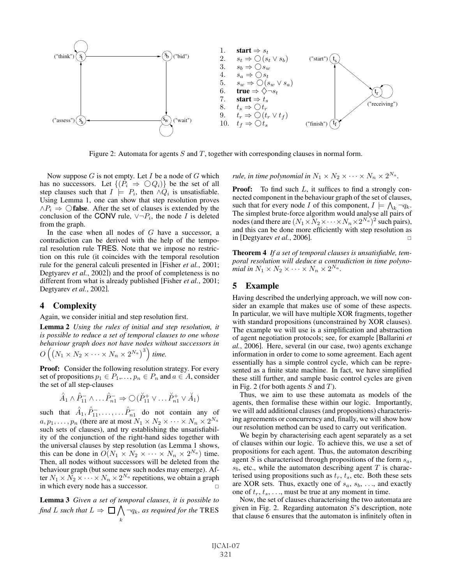

Figure 2: Automata for agents  $S$  and  $T$ , together with corresponding clauses in normal form.

Now suppose  $G$  is not empty. Let  $I$  be a node of  $G$  which has no successors. Let  $\{(P_i \Rightarrow \bigcirc Q_i)\}\)$  be the set of all step clauses such that  $I \models P_i$ , then  $\land Q_i$  is unsatisfiable. Using Lemma 1, one can show that step resolution proves  $\land P_i \Rightarrow \bigcirc$  false. After the set of clauses is extended by the conclusion of the CONV rule,  $\vee \neg P_i$ , the node *I* is deleted from the graph.

In the case when all nodes of  $G$  have a successor, a contradiction can be derived with the help of the temporal resolution rule TRES. Note that we impose no restriction on this rule (it coincides with the temporal resolution rule for the general calculi presented in [Fisher *et al.*, 2001; Degtyarev *et al.*, 2002]) and the proof of completeness is no different from what is already published [Fisher *et al.*, 2001; Degtyarev *et al.*, 2002].

#### 4 Complexity

Again, we consider initial and step resolution first.

Lemma 2 *Using the rules of initial and step resolution, it is possible to reduce a set of temporal clauses to one whose behaviour graph does not have nodes without successors in*

$$
O\left(\left(N_1\times N_2\times\cdots\times N_n\times 2^{N_a}\right)^3\right)
$$
 time.

Proof: Consider the following resolution strategy. For every set of propositions  $p_1 \in P_1, \ldots, p_n \in P_n$  and  $a \in A$ , consider the set of all step-clauses

$$
\hat{A}_1 \wedge \hat{P}_{11}^- \wedge \dots \hat{P}_{n1}^- \Rightarrow \bigcirc (\check{P}_{11}^+ \vee \dots \check{P}_{n1}^+ \vee \check{A}_1)
$$

such that  $\hat{A}_1$ ,  $\hat{P}_{11}^-, \ldots, \ldots, \hat{P}_{n1}^-$  do not contain any of<br>ere are at most  $N_1 \times N_2 \times \ldots \times N_{11} \times 2^{N_a}$  $a, p_1, \ldots, p_n$  (there are at most  $N_1 \times N_2 \times \cdots \times N_n \times 2^{N_a}$ such sets of clauses), and try establishing the unsatisfiability of the conjunction of the right-hand sides together with the universal clauses by step resolution (as Lemma 1 shows, this can be done in  $O(N_1 \times N_2 \times \cdots \times N_n \times 2^{N_a})$  time. Then, all nodes without successors will be deleted from the behaviour graph (but some new such nodes may emerge). After  $N_1 \times N_2 \times \cdots \times N_n \times 2^{N_a}$  repetitions, we obtain a graph<br>in which every node has a successor. in which every node has a successor.

Lemma 3 *Given a set of temporal clauses, it is possible to* find *L* such that  $L \Rightarrow \Box \bigwedge_k \neg q_k$ , as required for the TRES

*rule, in time polynomial in*  $N_1 \times N_2 \times \cdots \times N_n \times 2^{N_a}$ *.* 

**Proof:** To find such  $L$ , it suffices to find a strongly connected component in the behaviour graph of the set of clauses, such that for every node I of this component,  $I \models \bigwedge_k \neg q_k$ .<br>The simplest brute-force algorithm would analyse all pairs of The simplest brute-force algorithm would analyse all pairs of nodes (and there are  $(N_1 \times N_2 \times \cdots \times N_n \times 2^{N_a})^2$  such pairs), and this can be done more efficiently with step resolution as in [Degtyarev *et al.*, 2006]. -

Theorem 4 *If a set of temporal clauses is unsatisfiable, temporal resolution will deduce a contradiction in time polynomial in*  $N_1 \times N_2 \times \cdots \times N_n \times 2^{N_a}$ .

#### 5 Example

Having described the underlying approach, we will now consider an example that makes use of some of these aspects. In particular, we will have multiple XOR fragments, together with standard propositions (unconstrained by XOR clauses). The example we will use is a simplification and abstraction of agent negotiation protocols; see, for example [Ballarini *et al.*, 2006]. Here, several (in our case, two) agents exchange information in order to come to some agreement. Each agent essentially has a simple control cycle, which can be represented as a finite state machine. In fact, we have simplified these still further, and sample basic control cycles are given in Fig. 2 (for both agents  $S$  and  $T$ ).

Thus, we aim to use these automata as models of the agents, then formalise these within our logic. Importantly, we will add additional clauses (and propositions) characterising agreements or concurrency and, finally, we will show how our resolution method can be used to carry out verification.

We begin by characterising each agent separately as a set of clauses within our logic. To achieve this, we use a set of propositions for each agent. Thus, the automaton describing agent S is characterised through propositions of the form  $s_a$ ,  $s_b$ , etc., while the automaton describing agent T is characterised using propositions such as  $t_r$ ,  $t_s$ , etc. Both these sets are XOR sets. Thus, exactly one of  $s_a$ ,  $s_b$ , ..., and exactly one of  $t_r, t_s, \ldots$ , must be true at any moment in time.

Now, the set of clauses characterising the two automata are given in Fig. 2. Regarding automaton S's description, note that clause 6 ensures that the automaton is infinitely often in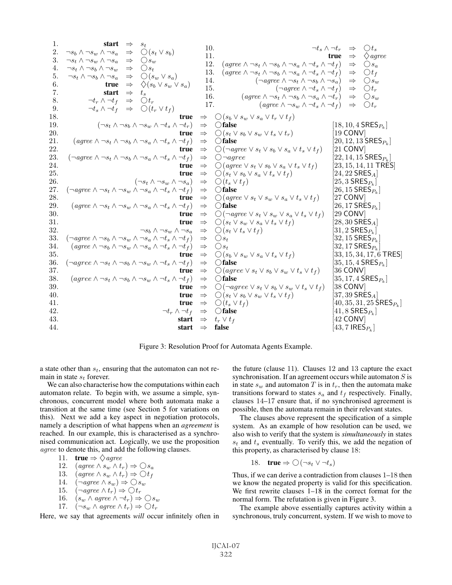. start <sup>⇒</sup> <sup>s</sup><sup>t</sup> . <sup>¬</sup>s<sup>b</sup> ∧ ¬s<sup>w</sup> ∧ ¬s<sup>a</sup> <sup>⇒</sup> ❣(s<sup>t</sup> <sup>∨</sup> <sup>s</sup><sup>b</sup>) . <sup>¬</sup>s<sup>t</sup> ∧ ¬s<sup>w</sup> ∧ ¬s<sup>a</sup> <sup>⇒</sup> ❣s<sup>w</sup> . <sup>¬</sup>s<sup>t</sup> ∧ ¬s<sup>b</sup> ∧ ¬s<sup>w</sup> <sup>⇒</sup> ❣s<sup>t</sup> . <sup>¬</sup>s<sup>t</sup> ∧ ¬s<sup>b</sup> ∧ ¬s<sup>a</sup> <sup>⇒</sup> ❣(s<sup>w</sup> <sup>∨</sup> <sup>s</sup><sup>a</sup>) . true <sup>⇒</sup> ♦(s<sup>b</sup> <sup>∨</sup> <sup>s</sup><sup>w</sup> <sup>∨</sup> <sup>s</sup><sup>a</sup>) . start <sup>⇒</sup> <sup>t</sup><sup>s</sup> . <sup>¬</sup>t<sup>r</sup> ∧ ¬t<sup>f</sup> <sup>⇒</sup> ❣t<sup>r</sup> . <sup>¬</sup>t<sup>s</sup> ∧ ¬t<sup>f</sup> <sup>⇒</sup> ❣(t<sup>r</sup> <sup>∨</sup> <sup>t</sup><sup>f</sup> ) . <sup>¬</sup>t<sup>s</sup> ∧ ¬t<sup>r</sup> <sup>⇒</sup> ❣t<sup>s</sup> . true <sup>⇒</sup> ♦agree . (agree ∧ ¬s<sup>t</sup> ∧ ¬s<sup>b</sup> ∧ ¬s<sup>a</sup> ∧ ¬t<sup>s</sup> ∧ ¬t<sup>f</sup> ) <sup>⇒</sup> ❣s<sup>a</sup> . (agree ∧ ¬s<sup>t</sup> ∧ ¬s<sup>b</sup> ∧ ¬s<sup>a</sup> ∧ ¬t<sup>s</sup> ∧ ¬t<sup>f</sup> ) <sup>⇒</sup> ❣t<sup>f</sup> . (¬agree ∧ ¬s<sup>t</sup> ∧ ¬s<sup>b</sup> ∧ ¬s<sup>a</sup>) <sup>⇒</sup> ❣s<sup>w</sup> . (¬agree ∧ ¬t<sup>s</sup> ∧ ¬t<sup>f</sup> ) <sup>⇒</sup> ❣t<sup>r</sup> . (agree ∧ ¬s<sup>t</sup> ∧ ¬s<sup>b</sup> ∧ ¬s<sup>a</sup> ∧ ¬t<sup>r</sup>) <sup>⇒</sup> ❣s<sup>w</sup> . (agree ∧ ¬s<sup>w</sup> ∧ ¬t<sup>s</sup> ∧ ¬t<sup>f</sup> ) <sup>⇒</sup> ❣t<sup>r</sup> . true <sup>⇒</sup> ❣(s<sup>b</sup> <sup>∨</sup> <sup>s</sup><sup>w</sup> <sup>∨</sup> <sup>s</sup><sup>a</sup> <sup>∨</sup> <sup>t</sup><sup>r</sup> <sup>∨</sup> <sup>t</sup><sup>f</sup> ) . (¬s<sup>t</sup> ∧ ¬s<sup>b</sup> ∧ ¬s<sup>w</sup> ∧ ¬t<sup>s</sup> ∧ ¬t<sup>r</sup>) <sup>⇒</sup> ❣false [18, <sup>10</sup>, <sup>4</sup> SRES<sup>P</sup><sup>k</sup> ] . true <sup>⇒</sup> ❣(s<sup>t</sup> <sup>∨</sup> <sup>s</sup><sup>b</sup> <sup>∨</sup> <sup>s</sup><sup>w</sup> <sup>∨</sup> <sup>t</sup><sup>s</sup> <sup>∨</sup> <sup>t</sup><sup>r</sup>) [19 CONV] . (agree ∧ ¬s<sup>t</sup> ∧ ¬s<sup>b</sup> ∧ ¬s<sup>a</sup> ∧ ¬t<sup>s</sup> ∧ ¬t<sup>f</sup> ) <sup>⇒</sup> ❣false [20, <sup>12</sup>, <sup>13</sup> SRES<sup>P</sup><sup>k</sup> ] . true <sup>⇒</sup> ❣(¬agree <sup>∨</sup> <sup>s</sup><sup>t</sup> <sup>∨</sup> <sup>s</sup><sup>b</sup> <sup>∨</sup> <sup>s</sup><sup>a</sup> <sup>∨</sup> <sup>t</sup><sup>s</sup> <sup>∨</sup> <sup>t</sup><sup>f</sup> ) [21 CONV] . (¬agree ∧ ¬s<sup>t</sup> ∧ ¬s<sup>b</sup> ∧ ¬s<sup>a</sup> ∧ ¬t<sup>s</sup> ∧ ¬t<sup>f</sup> ) <sup>⇒</sup> ❣¬agree [22, <sup>14</sup>, <sup>15</sup> SRES<sup>P</sup><sup>k</sup> ] . true <sup>⇒</sup> ❣(agree <sup>∨</sup> <sup>s</sup><sup>t</sup> <sup>∨</sup> <sup>s</sup><sup>b</sup> <sup>∨</sup> <sup>s</sup><sup>a</sup> <sup>∨</sup> <sup>t</sup><sup>s</sup> <sup>∨</sup> <sup>t</sup><sup>f</sup> ) [23, <sup>15</sup>, <sup>14</sup>, <sup>11</sup> TRES] . true <sup>⇒</sup> ❣(s<sup>t</sup> <sup>∨</sup> <sup>s</sup><sup>b</sup> <sup>∨</sup> <sup>s</sup><sup>a</sup> <sup>∨</sup> <sup>t</sup><sup>s</sup> <sup>∨</sup> <sup>t</sup><sup>f</sup> ) [24, <sup>22</sup> SRESA] . (¬s<sup>t</sup> ∧ ¬s<sup>w</sup> ∧ ¬s<sup>a</sup>) <sup>⇒</sup> ❣(t<sup>s</sup> <sup>∨</sup> <sup>t</sup><sup>f</sup> ) [25, <sup>3</sup> SRES<sup>P</sup><sup>k</sup> ] . (¬agree ∧ ¬s<sup>t</sup> ∧ ¬s<sup>w</sup> ∧ ¬s<sup>a</sup> ∧ ¬t<sup>s</sup> ∧ ¬t<sup>f</sup> ) <sup>⇒</sup> ❣false [26, <sup>15</sup> SRES<sup>P</sup><sup>k</sup> ] . true <sup>⇒</sup> ❣(agree <sup>∨</sup> <sup>s</sup><sup>t</sup> <sup>∨</sup> <sup>s</sup><sup>w</sup> <sup>∨</sup> <sup>s</sup><sup>a</sup> <sup>∨</sup> <sup>t</sup><sup>s</sup> <sup>∨</sup> <sup>t</sup><sup>f</sup> ) [27 CONV] . (agree ∧ ¬s<sup>t</sup> ∧ ¬s<sup>w</sup> ∧ ¬s<sup>a</sup> ∧ ¬t<sup>s</sup> ∧ ¬t<sup>f</sup> ) <sup>⇒</sup> ❣false [26, <sup>17</sup> SRES<sup>P</sup><sup>k</sup> ] . true <sup>⇒</sup> ❣(¬agree <sup>∨</sup> <sup>s</sup><sup>t</sup> <sup>∨</sup> <sup>s</sup><sup>w</sup> <sup>∨</sup> <sup>s</sup><sup>a</sup> <sup>∨</sup> <sup>t</sup><sup>s</sup> <sup>∨</sup> <sup>t</sup><sup>f</sup> ) [29 CONV] . true <sup>⇒</sup> ❣(s<sup>t</sup> <sup>∨</sup> <sup>s</sup><sup>w</sup> <sup>∨</sup> <sup>s</sup><sup>a</sup> <sup>∨</sup> <sup>t</sup><sup>s</sup> <sup>∨</sup> <sup>t</sup><sup>f</sup> ) [28, <sup>30</sup> SRESA] . <sup>¬</sup>s<sup>b</sup> ∧ ¬s<sup>w</sup> ∧ ¬s<sup>a</sup> <sup>⇒</sup> ❣(s<sup>t</sup> <sup>∨</sup> <sup>t</sup><sup>s</sup> <sup>∨</sup> <sup>t</sup><sup>f</sup> ) [31, <sup>2</sup> SRES<sup>P</sup><sup>k</sup> ] . (¬agree ∧ ¬s<sup>b</sup> ∧ ¬s<sup>w</sup> ∧ ¬s<sup>a</sup> ∧ ¬t<sup>s</sup> ∧ ¬t<sup>f</sup> ) <sup>⇒</sup> ❣s<sup>t</sup> [32, <sup>15</sup> SRES<sup>P</sup><sup>k</sup> ] . (agree ∧ ¬s<sup>b</sup> ∧ ¬s<sup>w</sup> ∧ ¬s<sup>a</sup> ∧ ¬t<sup>s</sup> ∧ ¬t<sup>f</sup> ) <sup>⇒</sup> ❣s<sup>t</sup> [32, <sup>17</sup> SRES<sup>P</sup><sup>k</sup> ] . true <sup>⇒</sup> ❣(s<sup>b</sup> <sup>∨</sup> <sup>s</sup><sup>w</sup> <sup>∨</sup> <sup>s</sup><sup>a</sup> <sup>∨</sup> <sup>t</sup><sup>s</sup> <sup>∨</sup> <sup>t</sup><sup>f</sup> ) [33, <sup>15</sup>, <sup>34</sup>, <sup>17</sup>, <sup>6</sup> TRES] . (¬agree ∧ ¬s<sup>t</sup> ∧ ¬s<sup>b</sup> ∧ ¬s<sup>w</sup> ∧ ¬t<sup>s</sup> ∧ ¬t<sup>f</sup> ) <sup>⇒</sup> ❣false [35, <sup>15</sup>, <sup>4</sup> SRES<sup>P</sup><sup>k</sup> ] . true <sup>⇒</sup> ❣(agree <sup>∨</sup> <sup>s</sup><sup>t</sup> <sup>∨</sup> <sup>s</sup><sup>b</sup> <sup>∨</sup> <sup>s</sup><sup>w</sup> <sup>∨</sup> <sup>t</sup><sup>s</sup> <sup>∨</sup> <sup>t</sup><sup>f</sup> ) [36 CONV] . (agree ∧ ¬s<sup>t</sup> ∧ ¬s<sup>b</sup> ∧ ¬s<sup>w</sup> ∧ ¬t<sup>s</sup> ∧ ¬t<sup>f</sup> ) <sup>⇒</sup> ❣false [35, <sup>17</sup>, <sup>4</sup> SRES<sup>P</sup><sup>k</sup> ] . true <sup>⇒</sup> ❣(¬agree <sup>∨</sup> <sup>s</sup><sup>t</sup> <sup>∨</sup> <sup>s</sup><sup>b</sup> <sup>∨</sup> <sup>s</sup><sup>w</sup> <sup>∨</sup> <sup>t</sup><sup>s</sup> <sup>∨</sup> <sup>t</sup><sup>f</sup> ) [38 CONV] . true <sup>⇒</sup> ❣(s<sup>t</sup> <sup>∨</sup> <sup>s</sup><sup>b</sup> <sup>∨</sup> <sup>s</sup><sup>w</sup> <sup>∨</sup> <sup>t</sup><sup>s</sup> <sup>∨</sup> <sup>t</sup><sup>f</sup> ) [37, <sup>39</sup> SRESA] . true <sup>⇒</sup> ❣(t<sup>s</sup> <sup>∨</sup> <sup>t</sup><sup>f</sup> ) [40, <sup>35</sup>, <sup>31</sup>, <sup>25</sup> SRES<sup>P</sup><sup>k</sup> ] . <sup>¬</sup>t<sup>r</sup> ∧ ¬t<sup>f</sup> <sup>⇒</sup> ❣false [41, <sup>8</sup> SRES<sup>P</sup><sup>k</sup> ] . start <sup>⇒</sup> <sup>t</sup><sup>r</sup> <sup>∨</sup> <sup>t</sup><sup>f</sup> [42 CONV] . start <sup>⇒</sup> false [43, <sup>7</sup> IRES<sup>P</sup><sup>k</sup> ]

Figure 3: Resolution Proof for Automata Agents Example.

a state other than  $s_t$ , ensuring that the automaton can not remain in state  $s_t$  forever.

We can also characterise how the computations within each automaton relate. To begin with, we assume a simple, synchronous, concurrent model where both automata make a transition at the same time (see Section 5 for variations on this). Next we add a key aspect in negotiation protocols, namely a description of what happens when an *agreement* is reached. In our example, this is characterised as a synchronised communication act. Logically, we use the proposition agree to denote this, and add the following clauses.

11. **true** 
$$
\Rightarrow \Diamond
$$
 agree  
12 (aare  $\land$  s...  $\land$  t...

12. 
$$
(agree \land s_w \land t_r) \Rightarrow \bigcirc s_a
$$
  
13.  $(agree \land s_w \land t_r) \Rightarrow \bigcirc t_s$ 

13. 
$$
(\text{agree } \land s_w \land t_r) \Rightarrow \bigcirc t_f
$$

13. 
$$
(agree \land s_w \land t_r) \Rightarrow \bigcirc t_f
$$
  
14.  $(\neg agree \land s_w) \Rightarrow \bigcirc s_w$ 

14. 
$$
(\neg \text{agree} \land s_w) \Rightarrow \bigcirc s_w
$$
  
15  $(\neg \text{agree} \land t_n) \Rightarrow \bigcirc t_n$ 

15. 
$$
(\neg agree \land t_r) \Rightarrow \bigcirc t_r
$$
  
16.  $(s_w \land agree \land \neg t_r) \Rightarrow \bigcirc s_w$ 

16. 
$$
(s_w \land agree \land \neg t_r) \Rightarrow \bigcirc s_w
$$
  
17.  $(\neg s_w \land agree \land t_r) \Rightarrow \bigcirc t_r$ 

17.  $(\neg s_w \land \text{agree} \land t_r) \Rightarrow \bigcirc t_r$ <br>Here, we say that agreements *will* occur infinitely often in

the future (clause 11). Clauses 12 and 13 capture the exact synchronisation. If an agreement occurs while automaton  $S$  is in state  $s_w$  and automaton T is in  $t_r$ , then the automata make transitions forward to states  $s_a$  and  $t_f$  respectively. Finally, clauses 14–17 ensure that, if no synchronised agreement is possible, then the automata remain in their relevant states.

The clauses above represent the specification of a simple system. As an example of how resolution can be used, we also wish to verify that the system is *simultaneously* in states  $s_t$  and  $t_s$  eventually. To verify this, we add the negation of this property, as characterised by clause 18:

18. **true** 
$$
\Rightarrow
$$
  $\bigcirc (\neg s_t \vee \neg t_s)$ 

Thus, if we can derive a contradiction from clauses 1–18 then we know the negated property is valid for this specification. We first rewrite clauses 1–18 in the correct format for the normal form. The refutation is given in Figure 3.

The example above essentially captures activity within a synchronous, truly concurrent, system. If we wish to move to